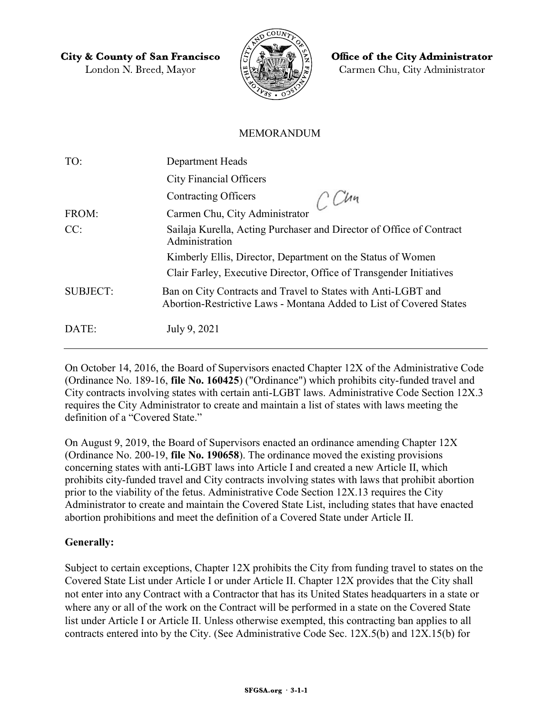**City & County of San Francisco** 

London N. Breed, Mayor



**Office of the City Administrator** Carmen Chu, City Administrator

## MEMORANDUM

| TO:             | Department Heads                                                                                                                     |
|-----------------|--------------------------------------------------------------------------------------------------------------------------------------|
|                 | <b>City Financial Officers</b>                                                                                                       |
|                 | <b>Contracting Officers</b><br>$\ddot{C}$ Un                                                                                         |
| FROM:           | Carmen Chu, City Administrator                                                                                                       |
| CC:             | Sailaja Kurella, Acting Purchaser and Director of Office of Contract<br>Administration                                               |
|                 | Kimberly Ellis, Director, Department on the Status of Women                                                                          |
|                 | Clair Farley, Executive Director, Office of Transgender Initiatives                                                                  |
| <b>SUBJECT:</b> | Ban on City Contracts and Travel to States with Anti-LGBT and<br>Abortion-Restrictive Laws - Montana Added to List of Covered States |
| DATE:           | July 9, 2021                                                                                                                         |

On October 14, 2016, the Board of Supervisors enacted Chapter 12X of the Administrative Code (Ordinance No. 189-16, file No. 160425) ("Ordinance") which prohibits city-funded travel and City contracts involving states with certain anti-LGBT laws. Administrative Code Section 12X.3 requires the City Administrator to create and maintain a list of states with laws meeting the definition of a "Covered State."

On August 9, 2019, the Board of Supervisors enacted an ordinance amending Chapter 12X (Ordinance No. 200-19, file No. 190658). The ordinance moved the existing provisions concerning states with anti-LGBT laws into Article I and created a new Article II, which prohibits city-funded travel and City contracts involving states with laws that prohibit abortion prior to the viability of the fetus. Administrative Code Section 12X.13 requires the City Administrator to create and maintain the Covered State List, including states that have enacted abortion prohibitions and meet the definition of a Covered State under Article II.

## Generally:

Subject to certain exceptions, Chapter 12X prohibits the City from funding travel to states on the Covered State List under Article I or under Article II. Chapter 12X provides that the City shall not enter into any Contract with a Contractor that has its United States headquarters in a state or where any or all of the work on the Contract will be performed in a state on the Covered State list under Article I or Article II. Unless otherwise exempted, this contracting ban applies to all contracts entered into by the City. (See Administrative Code Sec. 12X.5(b) and 12X.15(b) for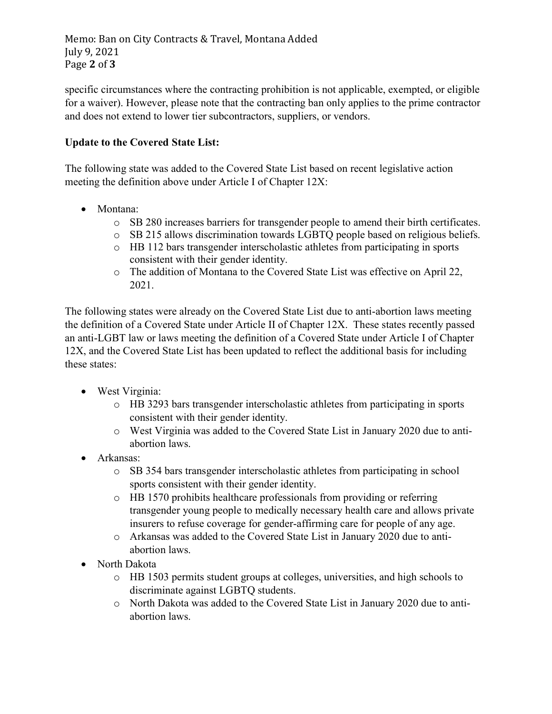specific circumstances where the contracting prohibition is not applicable, exempted, or eligible for a waiver). However, please note that the contracting ban only applies to the prime contractor and does not extend to lower tier subcontractors, suppliers, or vendors.

## Update to the Covered State List:

The following state was added to the Covered State List based on recent legislative action meeting the definition above under Article I of Chapter 12X:

- Montana:
	- o SB 280 increases barriers for transgender people to amend their birth certificates.
	- o SB 215 allows discrimination towards LGBTQ people based on religious beliefs.
	- o HB 112 bars transgender interscholastic athletes from participating in sports consistent with their gender identity.
	- o The addition of Montana to the Covered State List was effective on April 22, 2021.

The following states were already on the Covered State List due to anti-abortion laws meeting the definition of a Covered State under Article II of Chapter 12X. These states recently passed an anti-LGBT law or laws meeting the definition of a Covered State under Article I of Chapter 12X, and the Covered State List has been updated to reflect the additional basis for including these states:

- West Virginia:
	- o HB 3293 bars transgender interscholastic athletes from participating in sports consistent with their gender identity.
	- o West Virginia was added to the Covered State List in January 2020 due to antiabortion laws.
- Arkansas:
	- o SB 354 bars transgender interscholastic athletes from participating in school sports consistent with their gender identity.
	- o HB 1570 prohibits healthcare professionals from providing or referring transgender young people to medically necessary health care and allows private insurers to refuse coverage for gender-affirming care for people of any age.
	- o Arkansas was added to the Covered State List in January 2020 due to antiabortion laws.
- North Dakota
	- o HB 1503 permits student groups at colleges, universities, and high schools to discriminate against LGBTQ students.
	- o North Dakota was added to the Covered State List in January 2020 due to antiabortion laws.